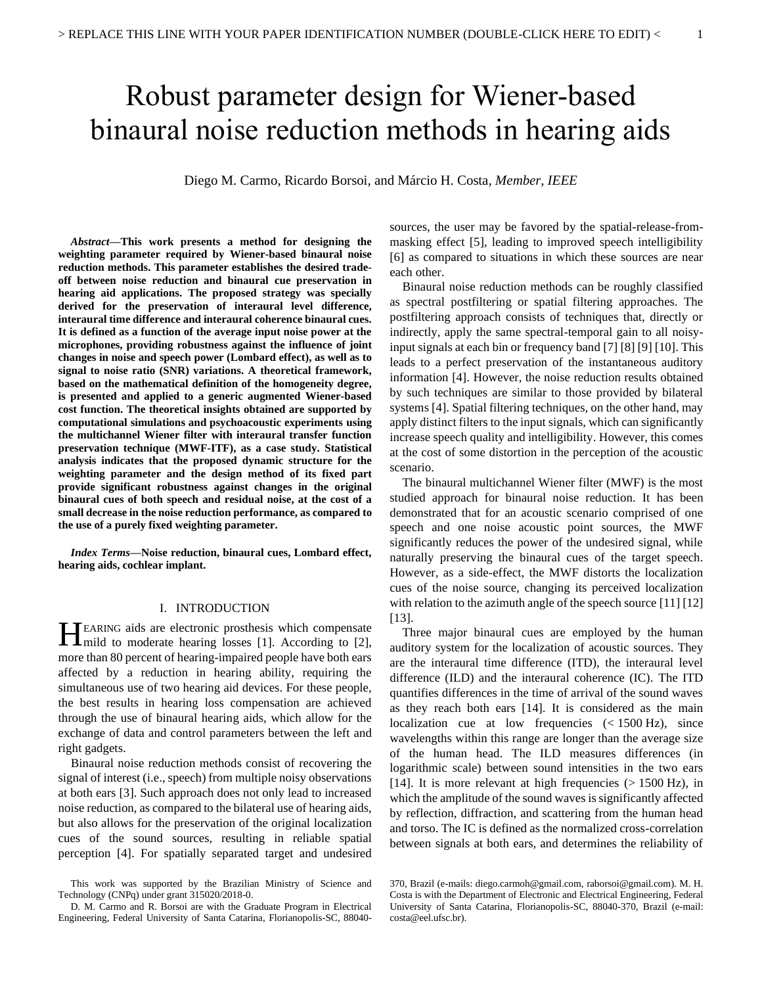# Robust parameter design for Wiener-based binaural noise reduction methods in hearing aids

Diego M. Carmo, Ricardo Borsoi, and Márcio H. Costa, *Member, IEEE*

*Abstract***—This work presents a method for designing the weighting parameter required by Wiener-based binaural noise reduction methods. This parameter establishes the desired tradeoff between noise reduction and binaural cue preservation in hearing aid applications. The proposed strategy was specially derived for the preservation of interaural level difference, interaural time difference and interaural coherence binaural cues. It is defined as a function of the average input noise power at the microphones, providing robustness against the influence of joint changes in noise and speech power (Lombard effect), as well as to signal to noise ratio (SNR) variations. A theoretical framework, based on the mathematical definition of the homogeneity degree, is presented and applied to a generic augmented Wiener-based cost function. The theoretical insights obtained are supported by computational simulations and psychoacoustic experiments using the multichannel Wiener filter with interaural transfer function preservation technique (MWF-ITF), as a case study. Statistical analysis indicates that the proposed dynamic structure for the weighting parameter and the design method of its fixed part provide significant robustness against changes in the original binaural cues of both speech and residual noise, at the cost of a small decrease in the noise reduction performance, as compared to the use of a purely fixed weighting parameter.**

*Index Terms***—Noise reduction, binaural cues, Lombard effect, hearing aids, cochlear implant.**

## I. INTRODUCTION

EARING aids are electronic prosthesis which compensate **HEARING** aids are electronic prosthesis which compensate mild to moderate hearing losses [\[1\].](#page-10-0) According to [2], more than 80 percent of hearing-impaired people have both ears affected by a reduction in hearing ability, requiring the simultaneous use of two hearing aid devices. For these people, the best results in hearing loss compensation are achieved through the use of binaural hearing aids, which allow for the exchange of data and control parameters between the left and right gadgets.

Binaural noise reduction methods consist of recovering the signal of interest (i.e., speech) from multiple noisy observations at both ears [\[3\].](#page-10-2) Such approach does not only lead to increased noise reduction, as compared to the bilateral use of hearing aids, but also allows for the preservation of the original localization cues of the sound sources, resulting in reliable spatial perception [\[4\].](#page-10-3) For spatially separated target and undesired

sources, the user may be favored by the spatial-release-frommasking effect [\[5\],](#page-10-4) leading to improved speech intelligibility [\[6\]](#page-10-5) as compared to situations in which these sources are near each other.

Binaural noise reduction methods can be roughly classified as spectral postfiltering or spatial filtering approaches. The postfiltering approach consists of techniques that, directly or indirectly, apply the same spectral-temporal gain to all noisyinput signals at each bin or frequency ban[d \[7\]](#page-10-6) [\[8\]](#page-10-7) [\[9\]](#page-10-8) [\[10\].](#page-10-9) This leads to a perfect preservation of the instantaneous auditory information [\[4\].](#page-10-3) However, the noise reduction results obtained by such techniques are similar to those provided by bilateral systems [\[4\].](#page-10-3) Spatial filtering techniques, on the other hand, may apply distinct filters to the input signals, which can significantly increase speech quality and intelligibility. However, this comes at the cost of some distortion in the perception of the acoustic scenario.

The binaural multichannel Wiener filter (MWF) is the most studied approach for binaural noise reduction. It has been demonstrated that for an acoustic scenario comprised of one speech and one noise acoustic point sources, the MWF significantly reduces the power of the undesired signal, while naturally preserving the binaural cues of the target speech. However, as a side-effect, the MWF distorts the localization cues of the noise source, changing its perceived localization with relation to the azimuth angle of the speech source [\[11\]](#page-10-10) [\[12\]](#page-10-11) [\[13\].](#page-10-12)

Three major binaural cues are employed by the human auditory system for the localization of acoustic sources. They are the interaural time difference (ITD), the interaural level difference (ILD) and the interaural coherence (IC). The ITD quantifies differences in the time of arrival of the sound waves as they reach both ears [\[14\].](#page-10-13) It is considered as the main localization cue at low frequencies (< 1500 Hz), since wavelengths within this range are longer than the average size of the human head. The ILD measures differences (in logarithmic scale) between sound intensities in the two ears [\[14\].](#page-10-13) It is more relevant at high frequencies  $(> 1500 \text{ Hz})$ , in which the amplitude of the sound waves is significantly affected by reflection, diffraction, and scattering from the human head and torso. The IC is defined as the normalized cross-correlation between signals at both ears, and determines the reliability of

This work was supported by the Brazilian Ministry of Science and Technology (CNPq) under grant 315020/2018-0.

D. M. Carmo and R. Borsoi are with the Graduate Program in Electrical Engineering, Federal University of Santa Catarina, Florianopolis-SC, 88040-

<sup>370,</sup> Brazil (e-mails: diego.carmoh@gmail.com, raborsoi@gmail.com). M. H. Costa is with the Department of Electronic and Electrical Engineering, Federal University of Santa Catarina, Florianopolis-SC, 88040-370, Brazil (e-mail: costa@eel.ufsc.br).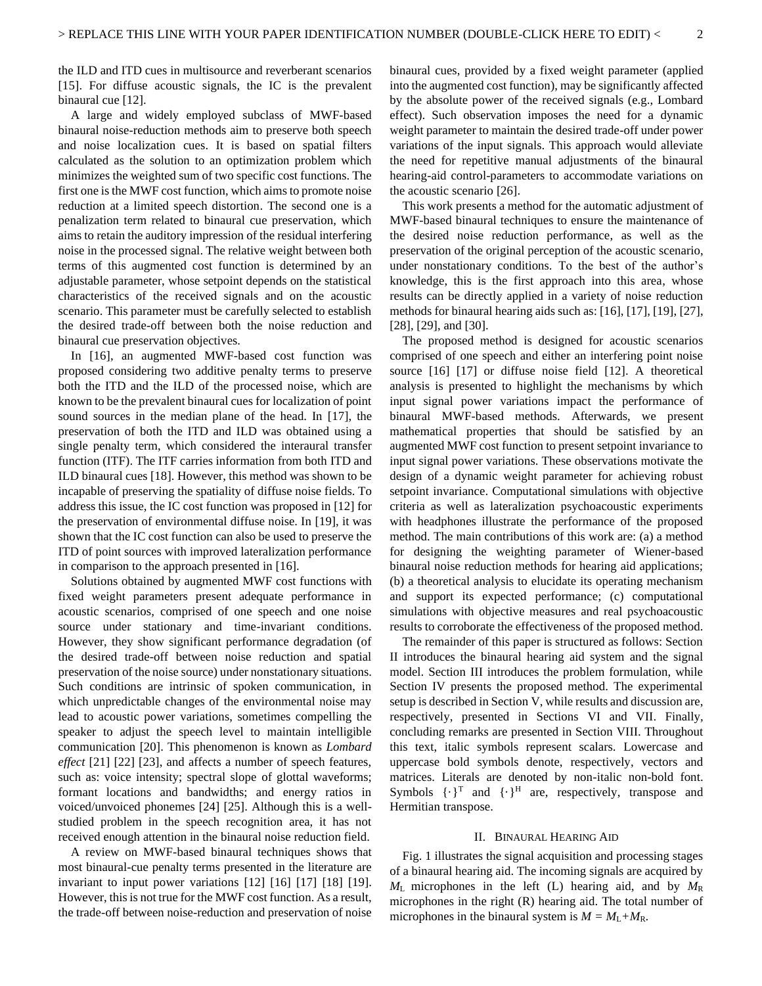the ILD and ITD cues in multisource and reverberant scenarios [\[15\].](#page-10-14) For diffuse acoustic signals, the IC is the prevalent binaural cu[e \[12\].](#page-10-11)

A large and widely employed subclass of MWF-based binaural noise-reduction methods aim to preserve both speech and noise localization cues. It is based on spatial filters calculated as the solution to an optimization problem which minimizes the weighted sum of two specific cost functions. The first one is the MWF cost function, which aims to promote noise reduction at a limited speech distortion. The second one is a penalization term related to binaural cue preservation, which aims to retain the auditory impression of the residual interfering noise in the processed signal. The relative weight between both terms of this augmented cost function is determined by an adjustable parameter, whose setpoint depends on the statistical characteristics of the received signals and on the acoustic scenario. This parameter must be carefully selected to establish the desired trade-off between both the noise reduction and binaural cue preservation objectives.

In [\[16\],](#page-10-15) an augmented MWF-based cost function was proposed considering two additive penalty terms to preserve both the ITD and the ILD of the processed noise, which are known to be the prevalent binaural cues for localization of point sound sources in the median plane of the head. In [\[17\],](#page-10-16) the preservation of both the ITD and ILD was obtained using a single penalty term, which considered the interaural transfer function (ITF). The ITF carries information from both ITD and ILD binaural cues [\[18\].](#page-10-17) However, this method was shown to be incapable of preserving the spatiality of diffuse noise fields. To address this issue, the IC cost function was proposed in [\[12\]](#page-10-11) for the preservation of environmental diffuse noise. In [\[19\],](#page-10-18) it was shown that the IC cost function can also be used to preserve the ITD of point sources with improved lateralization performance in comparison to the approach presented i[n \[16\].](#page-10-15)

Solutions obtained by augmented MWF cost functions with fixed weight parameters present adequate performance in acoustic scenarios, comprised of one speech and one noise source under stationary and time-invariant conditions. However, they show significant performance degradation (of the desired trade-off between noise reduction and spatial preservation of the noise source) under nonstationary situations. Such conditions are intrinsic of spoken communication, in which unpredictable changes of the environmental noise may lead to acoustic power variations, sometimes compelling the speaker to adjust the speech level to maintain intelligible communication [\[20\].](#page-10-19) This phenomenon is known as *Lombard effect* [\[21\]](#page-10-20) [\[22\]](#page-10-21) [\[23\],](#page-10-22) and affects a number of speech features, such as: voice intensity; spectral slope of glottal waveforms; formant locations and bandwidths; and energy ratios in voiced/unvoiced phonemes [\[24\]](#page-10-23) [\[25\].](#page-10-24) Although this is a wellstudied problem in the speech recognition area, it has not received enough attention in the binaural noise reduction field.

A review on MWF-based binaural techniques shows that most binaural-cue penalty terms presented in the literature are invariant to input power variations [\[12\]](#page-10-11) [\[16\]](#page-10-15) [\[17\]](#page-10-16) [\[18\]](#page-10-17) [\[19\].](#page-10-18)  However, this is not true for the MWF cost function. As a result, the trade-off between noise-reduction and preservation of noise

binaural cues, provided by a fixed weight parameter (applied into the augmented cost function), may be significantly affected by the absolute power of the received signals (e.g., Lombard effect). Such observation imposes the need for a dynamic weight parameter to maintain the desired trade-off under power variations of the input signals. This approach would alleviate the need for repetitive manual adjustments of the binaural hearing-aid control-parameters to accommodate variations on the acoustic scenario [\[26\].](#page-10-25)

This work presents a method for the automatic adjustment of MWF-based binaural techniques to ensure the maintenance of the desired noise reduction performance, as well as the preservation of the original perception of the acoustic scenario, under nonstationary conditions. To the best of the author's knowledge, this is the first approach into this area, whose results can be directly applied in a variety of noise reduction methods for binaural hearing aids such as: [\[16\],](#page-10-15) [\[17\],](#page-10-16) [\[19\],](#page-10-18) [\[27\],](#page-10-26) [\[28\],](#page-10-27) [\[29\],](#page-11-0) an[d \[30\].](#page-11-1)

The proposed method is designed for acoustic scenarios comprised of one speech and either an interfering point noise source [\[16\]](#page-10-15) [\[17\]](#page-10-16) or diffuse noise field [\[12\].](#page-10-11) A theoretical analysis is presented to highlight the mechanisms by which input signal power variations impact the performance of binaural MWF-based methods. Afterwards, we present mathematical properties that should be satisfied by an augmented MWF cost function to present setpoint invariance to input signal power variations. These observations motivate the design of a dynamic weight parameter for achieving robust setpoint invariance. Computational simulations with objective criteria as well as lateralization psychoacoustic experiments with headphones illustrate the performance of the proposed method. The main contributions of this work are: (a) a method for designing the weighting parameter of Wiener-based binaural noise reduction methods for hearing aid applications; (b) a theoretical analysis to elucidate its operating mechanism and support its expected performance; (c) computational simulations with objective measures and real psychoacoustic results to corroborate the effectiveness of the proposed method.

The remainder of this paper is structured as follows: Section [II](#page-1-0) introduces the binaural hearing aid system and the signal model. Section [III](#page-3-0) introduces the problem formulation, while Section [IV](#page-3-1) presents the proposed method. The experimental setup is described in Sectio[n V,](#page-4-0) while results and discussion are, respectively, presented in Sections [VI](#page-6-0) and [VII.](#page-9-0) Finally, concluding remarks are presented in Section [VIII.](#page-10-28) Throughout this text, italic symbols represent scalars. Lowercase and uppercase bold symbols denote, respectively, vectors and matrices. Literals are denoted by non-italic non-bold font. Symbols  $\{\cdot\}^T$  and  $\{\cdot\}^H$  are, respectively, transpose and Hermitian transpose.

### II. BINAURAL HEARING AID

<span id="page-1-0"></span>[Fig. 1](#page-2-0) illustrates the signal acquisition and processing stages of a binaural hearing aid. The incoming signals are acquired by  $M_{\rm L}$  microphones in the left (L) hearing aid, and by  $M_{\rm R}$ microphones in the right (R) hearing aid. The total number of microphones in the binaural system is  $M = M_L + M_R$ .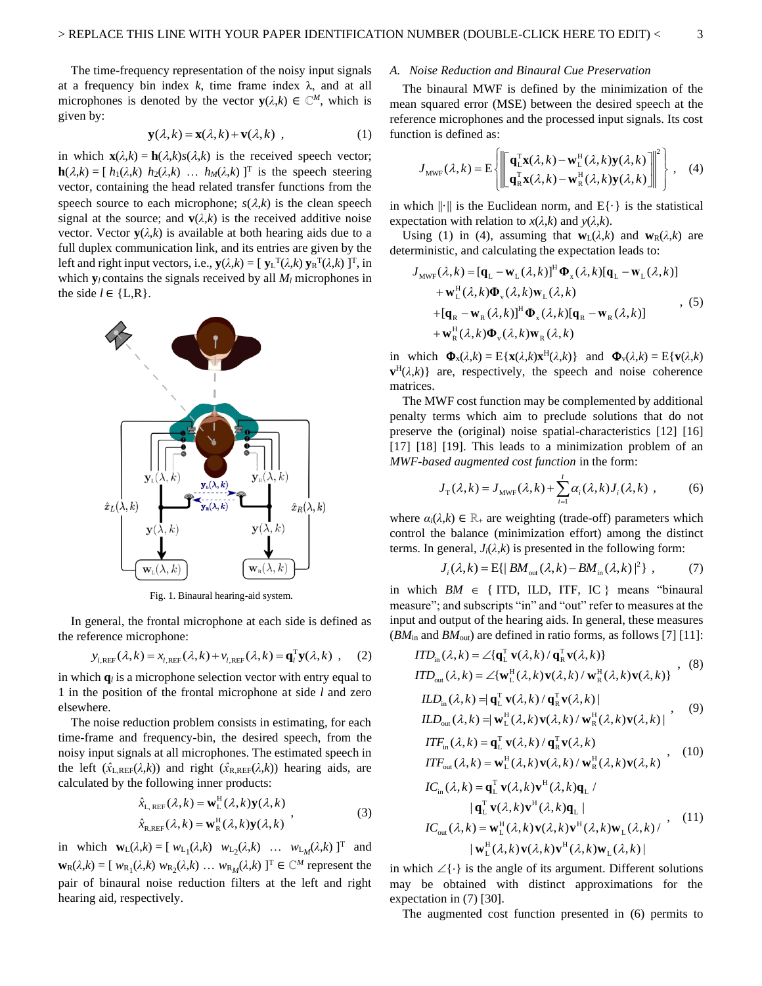The time-frequency representation of the noisy input signals at a frequency bin index  $k$ , time frame index  $\lambda$ , and at all microphones is denoted by the vector  $\mathbf{y}(\lambda, k) \in \mathbb{C}^M$ , which is given by:

$$
\mathbf{y}(\lambda, k) = \mathbf{x}(\lambda, k) + \mathbf{v}(\lambda, k) \tag{1}
$$

in which  $\mathbf{x}(\lambda, k) = \mathbf{h}(\lambda, k)s(\lambda, k)$  is the received speech vector; **h**( $\lambda$ ,k) = [  $h_1(\lambda,k)$   $h_2(\lambda,k)$   $\ldots$   $h_M(\lambda,k)$  ]<sup>T</sup> is the speech steering vector, containing the head related transfer functions from the speech source to each microphone;  $s(\lambda, k)$  is the clean speech signal at the source; and  $\mathbf{v}(\lambda, k)$  is the received additive noise vector. Vector  $\mathbf{y}(\lambda, k)$  is available at both hearing aids due to a full duplex communication link, and its entries are given by the left and right input vectors, i.e.,  $\mathbf{y}(\lambda, k) = [\mathbf{y}_L^T(\lambda, k) \mathbf{y}_R^T(\lambda, k)]^T$ , in which  $y_l$  contains the signals received by all  $M_l$  microphones in the side  $l \in \{L, R\}$ .



Fig. 1. Binaural hearing-aid system.

<span id="page-2-0"></span>In general, the frontal microphone at each side is defined as the reference microphone:

$$
y_{l,\text{REF}}(\lambda,k) = x_{l,\text{REF}}(\lambda,k) + v_{l,\text{REF}}(\lambda,k) = \mathbf{q}_l^{\text{T}} \mathbf{y}(\lambda,k) , \quad (2)
$$

in which  $q_l$  is a microphone selection vector with entry equal to 1 in the position of the frontal microphone at side *l* and zero elsewhere.

The noise reduction problem consists in estimating, for each time-frame and frequency-bin, the desired speech, from the noisy input signals at all microphones. The estimated speech in the left  $(\hat{x}_{LREF}(\lambda,k))$  and right  $(\hat{x}_{RREF}(\lambda,k))$  hearing aids, are calculated by the following inner products:

$$
\hat{x}_{\text{L, REF}}(\lambda, k) = \mathbf{w}_{\text{L}}^{\text{H}}(\lambda, k) \mathbf{y}(\lambda, k)
$$
\n
$$
\hat{x}_{\text{R,REF}}(\lambda, k) = \mathbf{w}_{\text{R}}^{\text{H}}(\lambda, k) \mathbf{y}(\lambda, k)
$$
\n(3)

in which  $\mathbf{w}_L(\lambda, k) = [\ w_{L_1}(\lambda, k) \ w_{L_2}(\lambda, k) \ \dots \ w_{L_M}(\lambda, k)]^T$  and  $\mathbf{w}_{R}(\lambda,k) = [\ w_{R_1}(\lambda,k) \ w_{R_2}(\lambda,k) \ ... \ w_{R_M}(\lambda,k)]^T \in \mathbb{C}^M$  represent the pair of binaural noise reduction filters at the left and right hearing aid, respectively.

## *A. Noise Reduction and Binaural Cue Preservation*

The binaural MWF is defined by the minimization of the mean squared error (MSE) between the desired speech at the reference microphones and the processed input signals. Its cost function is defined as:

$$
J_{\text{MWF}}(\lambda, k) = \mathbf{E} \left\{ \left\| \begin{bmatrix} \mathbf{q}_{\text{L}}^{\text{T}} \mathbf{x}(\lambda, k) - \mathbf{w}_{\text{L}}^{\text{H}}(\lambda, k) \mathbf{y}(\lambda, k) \\ \mathbf{q}_{\text{R}}^{\text{T}} \mathbf{x}(\lambda, k) - \mathbf{w}_{\text{R}}^{\text{H}}(\lambda, k) \mathbf{y}(\lambda, k) \end{bmatrix} \right\|^2 \right\}, \quad (4)
$$

in which  $\|\cdot\|$  is the Euclidean norm, and  $E\{\cdot\}$  is the statistical expectation with relation to  $x(\lambda, k)$  and  $y(\lambda, k)$ .

Using (1) in (4), assuming that  $\mathbf{w}_L(\lambda,k)$  and  $\mathbf{w}_R(\lambda,k)$  are deterministic, and calculating the expectation leads to:

$$
J_{\text{MWF}}(\lambda, k) = [\mathbf{q}_{\text{L}} - \mathbf{w}_{\text{L}}(\lambda, k)]^{\text{H}} \mathbf{\Phi}_{\text{x}}(\lambda, k) [\mathbf{q}_{\text{L}} - \mathbf{w}_{\text{L}}(\lambda, k)]
$$
  
+  $\mathbf{w}_{\text{L}}^{\text{H}}(\lambda, k) \mathbf{\Phi}_{\text{v}}(\lambda, k) \mathbf{w}_{\text{L}}(\lambda, k)$   
+  $[\mathbf{q}_{\text{R}} - \mathbf{w}_{\text{R}}(\lambda, k)]^{\text{H}} \mathbf{\Phi}_{\text{x}}(\lambda, k) [\mathbf{q}_{\text{R}} - \mathbf{w}_{\text{R}}(\lambda, k)]$  (5)  
+  $\mathbf{w}_{\text{R}}^{\text{H}}(\lambda, k) \mathbf{\Phi}_{\text{v}}(\lambda, k) \mathbf{w}_{\text{R}}(\lambda, k)$ 

in which  $\Phi_x(\lambda, k) = E\{\mathbf{x}(\lambda, k)\mathbf{x}^H(\lambda, k)\}$  and  $\Phi_y(\lambda, k) = E\{\mathbf{v}(\lambda, k)\}$  $\mathbf{v}^{\text{H}}(\lambda,k)$ } are, respectively, the speech and noise coherence matrices.

The MWF cost function may be complemented by additional penalty terms which aim to preclude solutions that do not preserve the (original) noise spatial-characteristics [\[12\]](#page-10-11) [\[16\]](#page-10-15) [\[17\]](#page-10-16) [\[18\]](#page-10-17) [\[19\].](#page-10-18) This leads to a minimization problem of an *MWF-based augmented cost function* in the form:

<span id="page-2-1"></span>
$$
J_{\rm T}(\lambda, k) = J_{\rm MWF}(\lambda, k) + \sum_{i=1}^{I} \alpha_i(\lambda, k) J_i(\lambda, k) , \qquad (6)
$$

where  $\alpha_i(\lambda, k) \in \mathbb{R}_+$  are weighting (trade-off) parameters which control the balance (minimization effort) among the distinct terms. In general,  $J_i(\lambda, k)$  is presented in the following form:

$$
J_i(\lambda, k) = \mathbb{E}\{ |BM_{\text{out}}(\lambda, k) - BM_{\text{in}}(\lambda, k) |^2 \}, \tag{7}
$$

in which  $BM \in \{ \text{ITD}, \text{ ILD}, \text{ ITF}, \text{ IC} \}$  means "binaural measure"; and subscripts "in" and "out" refer to measures at the input and output of the hearing aids. In general, these measures (*BM*in and *BM*out) are defined in ratio forms, as follows [\[7\]](#page-10-6) [\[11\]:](#page-10-10)

$$
ITD_{\text{in}}(\lambda, k) = \angle {\{\mathbf{q}_{\text{L}}^{\text{T}} \mathbf{v}(\lambda, k) / \mathbf{q}_{\text{R}}^{\text{T}} \mathbf{v}(\lambda, k)\}} \qquad (8)
$$
  

$$
ITD_{\text{out}}(\lambda, k) = \angle {\{\mathbf{w}_{\text{L}}^{\text{H}}(\lambda, k) \mathbf{v}(\lambda, k) / \mathbf{w}_{\text{R}}^{\text{H}}(\lambda, k) \mathbf{v}(\lambda, k)\}} \quad ,
$$

$$
ILD_{in}(\lambda, k) = |\mathbf{q}_{L}^{T} \mathbf{v}(\lambda, k) / \mathbf{q}_{R}^{T} \mathbf{v}(\lambda, k)|
$$
  
\n
$$
ILD_{out}(\lambda, k) = |\mathbf{w}_{L}^{H}(\lambda, k) \mathbf{v}(\lambda, k) / \mathbf{w}_{R}^{H}(\lambda, k) \mathbf{v}(\lambda, k)|
$$
\n(9)

$$
ITF_{\text{in}}(\lambda, k) = \mathbf{q}_{\text{L}}^{\text{T}} \mathbf{v}(\lambda, k) / \mathbf{q}_{\text{R}}^{\text{T}} \mathbf{v}(\lambda, k)
$$
  

$$
ITF_{\text{out}}(\lambda, k) = \mathbf{w}_{\text{L}}^{\text{H}}(\lambda, k) \mathbf{v}(\lambda, k) / \mathbf{w}_{\text{R}}^{\text{H}}(\lambda, k) \mathbf{v}(\lambda, k)
$$
 (10)

$$
IC_{in}(\lambda, k) = \mathbf{q}_{L}^{T} \mathbf{v}(\lambda, k) \mathbf{v}^{H}(\lambda, k) \mathbf{q}_{L} /
$$
  
\n
$$
|\mathbf{q}_{L}^{T} \mathbf{v}(\lambda, k) \mathbf{v}^{H}(\lambda, k) \mathbf{q}_{L}|
$$
  
\n
$$
IC_{out}(\lambda, k) = \mathbf{w}_{L}^{H}(\lambda, k) \mathbf{v}(\lambda, k) \mathbf{v}^{H}(\lambda, k) \mathbf{w}_{L}(\lambda, k) /
$$
  
\n
$$
|\mathbf{w}_{L}^{H}(\lambda, k) \mathbf{v}(\lambda, k) \mathbf{v}^{H}(\lambda, k) \mathbf{w}_{L}(\lambda, k)|
$$
\n(11)

in which  $\angle\{\cdot\}$  is the angle of its argument. Different solutions may be obtained with distinct approximations for the expectation in (7) [\[30\].](#page-11-1)

ou

The augmented cost function presented in (6) permits to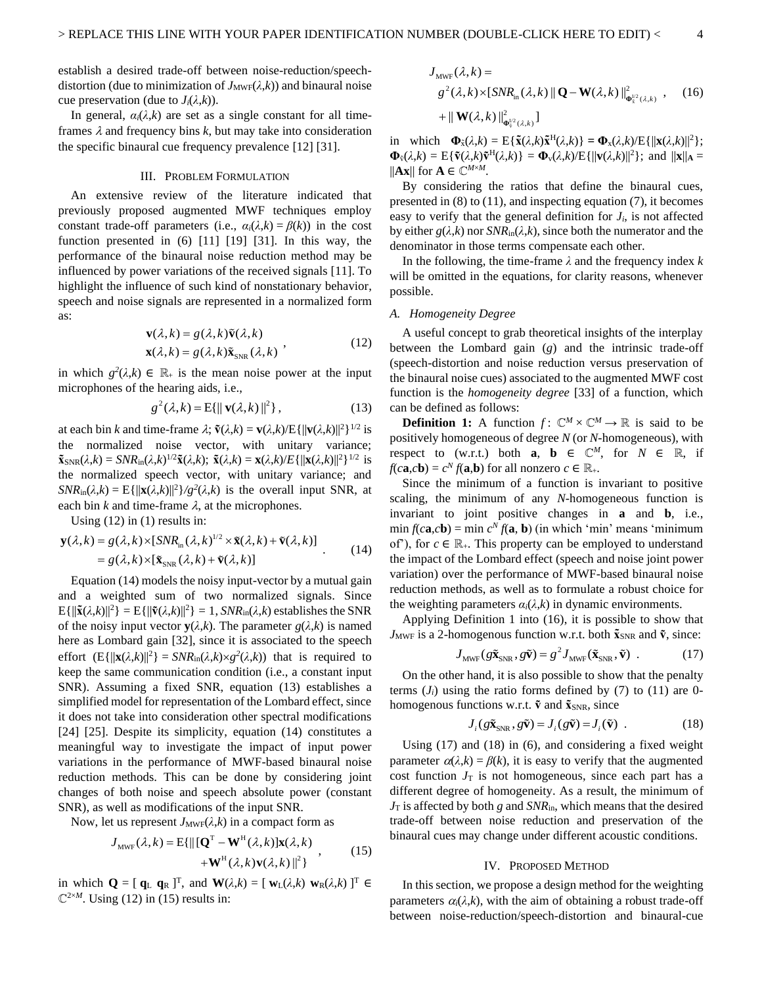establish a desired trade-off between noise-reduction/speechdistortion (due to minimization of  $J_{\text{MWF}}(\lambda, k)$ ) and binaural noise cue preservation (due to  $J_i(\lambda, k)$ ).

In general,  $\alpha_i(\lambda, k)$  are set as a single constant for all timeframes  $\lambda$  and frequency bins  $k$ , but may take into consideration the specific binaural cue frequency prevalence [\[12\]](#page-10-11) [\[31\].](#page-11-2)

## III. PROBLEM FORMULATION

<span id="page-3-0"></span>An extensive review of the literature indicated that previously proposed augmented MWF techniques employ constant trade-off parameters (i.e.,  $\alpha_i(\lambda, k) = \beta(k)$ ) in the cost function presented in  $(6)$  [\[11\]](#page-10-10) [\[19\]](#page-10-18) [\[31\].](#page-11-2) In this way, the performance of the binaural noise reduction method may be influenced by power variations of the received signals [\[11\].](#page-10-10) To highlight the influence of such kind of nonstationary behavior, speech and noise signals are represented in a normalized form as:

$$
\mathbf{v}(\lambda, k) = g(\lambda, k)\tilde{\mathbf{v}}(\lambda, k)
$$
  

$$
\mathbf{x}(\lambda, k) = g(\lambda, k)\tilde{\mathbf{x}}_{\text{SNR}}(\lambda, k)
$$
 (12)

in which  $g^2(\lambda, k) \in \mathbb{R}_+$  is the mean noise power at the input microphones of the hearing aids, i.e.,

$$
g^{2}(\lambda,k) = \mathbf{E}\{\|\mathbf{v}(\lambda,k)\|^{2}\},\qquad(13)
$$

at each bin *k* and time-frame  $\lambda$ ;  $\mathbf{\tilde{v}}(\lambda, k) = \mathbf{v}(\lambda, k)/E\{\|\mathbf{v}(\lambda, k)\|^2\}^{1/2}$  is the normalized noise vector, with unitary variance;  $\tilde{\mathbf{x}}$ <sub>SNR</sub>( $\lambda$ ,*k*) = *SNR*<sub>in</sub>( $\lambda$ ,*k*)<sup>1/2</sup> $\tilde{\mathbf{x}}$ ( $\lambda$ ,*k*);  $\tilde{\mathbf{x}}$ ( $\lambda$ ,*k*)/*E*{|| $\mathbf{x}$ ( $\lambda$ ,*k*)||<sup>2</sup>}<sup>1/2</sup> is the normalized speech vector, with unitary variance; and *SNR*<sub>in</sub>( $\lambda$ ,*k*) = E{ $\vert \vert \mathbf{x}(\lambda, k) \vert \vert^2$ *}/g*<sup>2</sup>( $\lambda$ ,*k*) is the overall input SNR, at each bin  $k$  and time-frame  $\lambda$ , at the microphones.

Using  $(12)$  in  $(1)$  results in:

$$
\mathbf{y}(\lambda, k) = g(\lambda, k) \times [SNR_{in}(\lambda, k)^{1/2} \times \tilde{\mathbf{x}}(\lambda, k) + \tilde{\mathbf{v}}(\lambda, k)]
$$
  
=  $g(\lambda, k) \times [\tilde{\mathbf{x}}_{SNR}(\lambda, k) + \tilde{\mathbf{v}}(\lambda, k)]$  (14)

Equation (14) models the noisy input-vector by a mutual gain and a weighted sum of two normalized signals. Since  $E\{\|\tilde{\mathbf{x}}(\lambda,k)\|^2\} = E\{\|\tilde{\mathbf{v}}(\lambda,k)\|^2\} = 1$ ,  $SNR_{in}(\lambda,k)$  establishes the SNR of the noisy input vector  $\mathbf{y}(\lambda,k)$ . The parameter  $g(\lambda,k)$  is named here as Lombard gain [\[32\],](#page-11-3) since it is associated to the speech effort  $(E{\{\Vert \mathbf{x}(\lambda,k)\Vert^2\}} = SNR_{in}(\lambda,k) \times g^2(\lambda,k))$  that is required to keep the same communication condition (i.e., a constant input SNR). Assuming a fixed SNR, equation (13) establishes a simplified model for representation of the Lombard effect, since it does not take into consideration other spectral modifications [\[24\]](#page-10-23) [\[25\].](#page-10-24) Despite its simplicity, equation (14) constitutes a meaningful way to investigate the impact of input power variations in the performance of MWF-based binaural noise reduction methods. This can be done by considering joint changes of both noise and speech absolute power (constant SNR), as well as modifications of the input SNR.

Now, let us represent  $J_{\text{MWF}}(\lambda, k)$  in a compact form as

$$
J_{\text{MWF}}(\lambda, k) = \mathbf{E}\{ \|\left[\mathbf{Q}^{\text{T}} - \mathbf{W}^{\text{H}}(\lambda, k)\right] \mathbf{x}(\lambda, k) + \mathbf{W}^{\text{H}}(\lambda, k) \mathbf{v}(\lambda, k)\|^2 \},\tag{15}
$$

in which  $\mathbf{Q} = [\mathbf{q}_L \ \mathbf{q}_R]^\text{T}$ , and  $\mathbf{W}(\lambda, k) = [\mathbf{w}_L(\lambda, k) \ \mathbf{w}_R(\lambda, k)]^\text{T} \in$  $\mathbb{C}^{2\times M}$ . Using (12) in (15) results in:

$$
J_{\text{MWF}}(\lambda, k) =
$$
  
\n
$$
g^{2}(\lambda, k) \times \left[ SNR_{\text{in}}(\lambda, k) \| \mathbf{Q} - \mathbf{W}(\lambda, k) \|_{\mathbf{0}_{\lambda}^{1/2}(\lambda, k)}^{2} , \quad (16) + \|\mathbf{W}(\lambda, k)\|_{\mathbf{0}_{\lambda}^{1/2}(\lambda, k)}^{2} \right]
$$

in which  $\Phi_{\bar{x}}(\lambda,k) = E{\{\tilde{x}(\lambda,k)\tilde{x}^H(\lambda,k)\}} = \Phi_{x}(\lambda,k)/E{\{\|x(\lambda,k)\|^2\}};$  $\Phi_{\tilde{v}}(\lambda,k) = E\{\tilde{v}(\lambda,k)\tilde{v}^{\text{H}}(\lambda,k)\} = \Phi_{v}(\lambda,k)/E\{\|\mathbf{v}(\lambda,k)\|^2\};$  and  $\|\mathbf{x}\|_{\mathbf{A}} =$  $||\mathbf{A}\mathbf{x}||$  for  $\mathbf{A} \in \mathbb{C}^{M \times M}$ .

By considering the ratios that define the binaural cues, presented in (8) to (11), and inspecting equation (7), it becomes easy to verify that the general definition for  $J_i$ , is not affected by either  $g(\lambda, k)$  nor  $SNR_{in}(\lambda, k)$ , since both the numerator and the denominator in those terms compensate each other.

In the following, the time-frame *λ* and the frequency index *k* will be omitted in the equations, for clarity reasons, whenever possible.

### <span id="page-3-2"></span>*A. Homogeneity Degree*

A useful concept to grab theoretical insights of the interplay between the Lombard gain (*g*) and the intrinsic trade-off (speech-distortion and noise reduction versus preservation of the binaural noise cues) associated to the augmented MWF cost function is the *homogeneity degree* [\[33\]](#page-11-4) of a function, which can be defined as follows:

**Definition 1:** A function  $f: \mathbb{C}^M \times \mathbb{C}^M \to \mathbb{R}$  is said to be positively homogeneous of degree *N* (or *N*-homogeneous), with respect to (w.r.t.) both **a**, **b**  $\in \mathbb{C}^M$ , for  $N \in \mathbb{R}$ , if  $f(c\mathbf{a}, c\mathbf{b}) = c^N f(\mathbf{a}, \mathbf{b})$  for all nonzero  $c \in \mathbb{R}_+$ .

Since the minimum of a function is invariant to positive scaling, the minimum of any *N*-homogeneous function is invariant to joint positive changes in **a** and **b**, i.e., min  $f(c\mathbf{a}, c\mathbf{b}) = \min c^N f(\mathbf{a}, \mathbf{b})$  (in which 'min' means 'minimum of'), for  $c \in \mathbb{R}_+$ . This property can be employed to understand the impact of the Lombard effect (speech and noise joint power variation) over the performance of MWF-based binaural noise reduction methods, as well as to formulate a robust choice for the weighting parameters  $\alpha_i(\lambda, k)$  in dynamic environments.

Applying Definition 1 into (16), it is possible to show that  $J_{\text{MWF}}$  is a 2-homogenous function w.r.t. both  $\tilde{\mathbf{x}}_{\text{SNR}}$  and  $\tilde{\mathbf{v}}$ , since:

$$
J_{\text{MWF}}(g\tilde{\mathbf{x}}_{\text{SNR}}, g\tilde{\mathbf{v}}) = g^2 J_{\text{MWF}}(\tilde{\mathbf{x}}_{\text{SNR}}, \tilde{\mathbf{v}})
$$
 (17)

On the other hand, it is also possible to show that the penalty terms  $(J_i)$  using the ratio forms defined by  $(7)$  to  $(11)$  are 0homogenous functions w.r.t.  $\tilde{v}$  and  $\tilde{x}_{SNR}$ , since

$$
J_i(g\tilde{\mathbf{x}}_{SNR}, g\tilde{\mathbf{v}}) = J_i(g\tilde{\mathbf{v}}) = J_i(\tilde{\mathbf{v}}) .
$$
 (18)

Using (17) and (18) in [\(6\),](#page-2-1) and considering a fixed weight parameter  $\alpha(\lambda,k) = \beta(k)$ , it is easy to verify that the augmented cost function  $J<sub>T</sub>$  is not homogeneous, since each part has a different degree of homogeneity. As a result, the minimum of  $J_T$  is affected by both *g* and  $SNR_{\text{in}}$ , which means that the desired trade-off between noise reduction and preservation of the binaural cues may change under different acoustic conditions.

#### IV. PROPOSED METHOD

<span id="page-3-1"></span>In this section, we propose a design method for the weighting parameters  $\alpha_i(\lambda, k)$ , with the aim of obtaining a robust trade-off between noise-reduction/speech-distortion and binaural-cue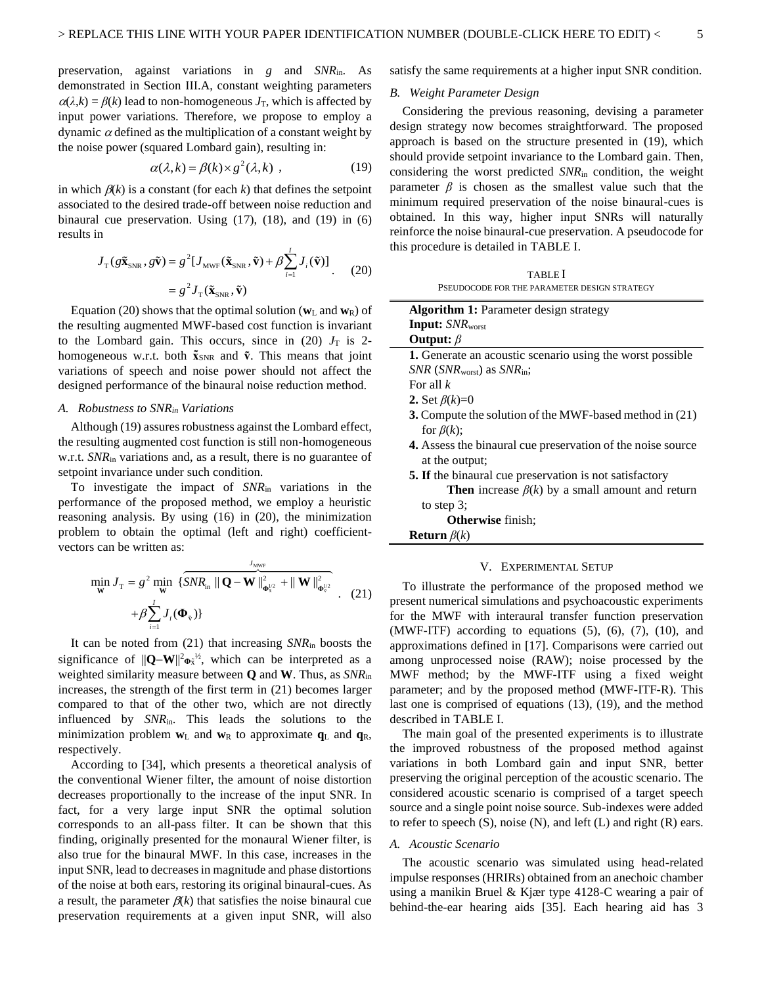preservation, against variations in *g* and *SNR*in. As demonstrated in Section [III.A,](#page-3-2) constant weighting parameters  $\alpha(\lambda, k) = \beta(k)$  lead to non-homogeneous  $J_T$ , which is affected by input power variations. Therefore, we propose to employ a dynamic  $\alpha$  defined as the multiplication of a constant weight by the noise power (squared Lombard gain), resulting in:

$$
\alpha(\lambda, k) = \beta(k) \times g^2(\lambda, k) \tag{19}
$$

in which  $\beta(k)$  is a constant (for each k) that defines the setpoint associated to the desired trade-off between noise reduction and binaural cue preservation. Using (17), (18), and (19) in (6) results in

$$
J_{\rm T}(g\tilde{\mathbf{x}}_{\rm SNR}, g\tilde{\mathbf{v}}) = g^2 [J_{\rm MWF}(\tilde{\mathbf{x}}_{\rm SNR}, \tilde{\mathbf{v}}) + \beta \sum_{i=1}^{I} J_i(\tilde{\mathbf{v}})]
$$
  
=  $g^2 J_{\rm T}(\tilde{\mathbf{x}}_{\rm SNR}, \tilde{\mathbf{v}})$  (20)

Equation (20) shows that the optimal solution ( $w<sub>L</sub>$  and  $w<sub>R</sub>$ ) of the resulting augmented MWF-based cost function is invariant to the Lombard gain. This occurs, since in  $(20)$   $J_T$  is 2homogeneous w.r.t. both  $\tilde{\mathbf{x}}_{SNR}$  and  $\tilde{\mathbf{v}}$ . This means that joint variations of speech and noise power should not affect the designed performance of the binaural noise reduction method.

## <span id="page-4-3"></span>*A. Robustness to SNRin Variations*

Although (19) assures robustness against the Lombard effect, the resulting augmented cost function is still non-homogeneous w.r.t. *SNR*in variations and, as a result, there is no guarantee of setpoint invariance under such condition.

To investigate the impact of *SNR*in variations in the performance of the proposed method, we employ a heuristic reasoning analysis. By using (16) in (20), the minimization problem to obtain the optimal (left and right) coefficientvectors can be written as:

$$
\min_{\mathbf{w}} J_{\mathrm{T}} = g^2 \min_{\mathbf{w}} \left\{ \frac{S N R_{\mathrm{in}} \left\| \mathbf{Q} - \mathbf{W} \right\|_{\mathbf{\Phi}_{\mathrm{x}}^{1/2}}^2 + \left\| \mathbf{W} \right\|_{\mathbf{\Phi}_{\mathrm{v}}^{1/2}}^2 + \left\| \mathbf{W} \right\|_{\mathbf{\Phi}_{\mathrm{v}}^{1/2}}^2 + \left\| \mathbf{W} \right\|_{\mathbf{\Phi}_{\mathrm{v}}^{1/2}}^2 + \left\| \mathbf{W} \right\|_{\mathbf{\Phi}_{\mathrm{v}}^{1/2}}^2 \right\} \tag{21}
$$

It can be noted from (21) that increasing *SNR*in boosts the significance of ||**Q**−**W**||<sup>2</sup>**Φ**x̃ <sup>½</sup>, which can be interpreted as a weighted similarity measure between **Q** and **W**. Thus, as *SNR*in increases, the strength of the first term in (21) becomes larger compared to that of the other two, which are not directly influenced by *SNR*in. This leads the solutions to the minimization problem  $w_L$  and  $w_R$  to approximate  $q_L$  and  $q_R$ , respectively.

According to [\[34\],](#page-11-5) which presents a theoretical analysis of the conventional Wiener filter, the amount of noise distortion decreases proportionally to the increase of the input SNR. In fact, for a very large input SNR the optimal solution corresponds to an all-pass filter. It can be shown that this finding, originally presented for the monaural Wiener filter, is also true for the binaural MWF. In this case, increases in the input SNR, lead to decreases in magnitude and phase distortions of the noise at both ears, restoring its original binaural-cues. As a result, the parameter  $\beta(k)$  that satisfies the noise binaural cue preservation requirements at a given input SNR, will also

satisfy the same requirements at a higher input SNR condition.

#### *B. Weight Parameter Design*

Considering the previous reasoning, devising a parameter design strategy now becomes straightforward. The proposed approach is based on the structure presented in (19), which should provide setpoint invariance to the Lombard gain. Then, considering the worst predicted *SNR*in condition, the weight parameter  $\beta$  is chosen as the smallest value such that the minimum required preservation of the noise binaural-cues is obtained. In this way, higher input SNRs will naturally reinforce the noise binaural-cue preservation. A pseudocode for this procedure is detailed in [TABLE I.](#page-4-1)

| <b>TABLE</b>                                 |
|----------------------------------------------|
| PSEUDOCODE FOR THE PARAMETER DESIGN STRATEGY |

<span id="page-4-1"></span>

| <b>Algorithm 1:</b> Parameter design strategy                  |
|----------------------------------------------------------------|
| <b>Input:</b> SNR <sub>worst</sub>                             |
| Output: $\beta$                                                |
| 1. Generate an acoustic scenario using the worst possible      |
| $SNR$ (SNR <sub>worst</sub> ) as $SNR_{\text{in}}$ ;           |
| For all $k$                                                    |
| 2. Set $\beta(k)=0$                                            |
| 3. Compute the solution of the MWF-based method in (21)        |
| for $\beta(k)$ ;                                               |
| 4. Assess the binaural cue preservation of the noise source    |
| at the output;                                                 |
| <b>5. If the binaural cue preservation is not satisfactory</b> |
| <b>Then</b> increase $\beta(k)$ by a small amount and return   |
| to step $3$ ;                                                  |
| <b>Otherwise</b> finish:                                       |

<span id="page-4-0"></span>**Return**  $\beta(k)$ 

#### V. EXPERIMENTAL SETUP

To illustrate the performance of the proposed method we present numerical simulations and psychoacoustic experiments for the MWF with interaural transfer function preservation  $(MWF-ITF)$  according to equations  $(5)$ ,  $(6)$ ,  $(7)$ ,  $(10)$ , and approximations defined in [\[17\].](#page-10-16) Comparisons were carried out among unprocessed noise (RAW); noise processed by the MWF method; by the MWF-ITF using a fixed weight parameter; and by the proposed method (MWF-ITF-R). This last one is comprised of equations (13), (19), and the method described in [TABLE I.](#page-4-1)

The main goal of the presented experiments is to illustrate the improved robustness of the proposed method against variations in both Lombard gain and input SNR, better preserving the original perception of the acoustic scenario. The considered acoustic scenario is comprised of a target speech source and a single point noise source. Sub-indexes were added to refer to speech  $(S)$ , noise  $(N)$ , and left  $(L)$  and right  $(R)$  ears.

## <span id="page-4-2"></span>*A. Acoustic Scenario*

The acoustic scenario was simulated using head-related impulse responses (HRIRs) obtained from an anechoic chamber using a manikin Bruel & Kjær type 4128-C wearing a pair of behind-the-ear hearing aids [\[35\].](#page-11-6) Each hearing aid has 3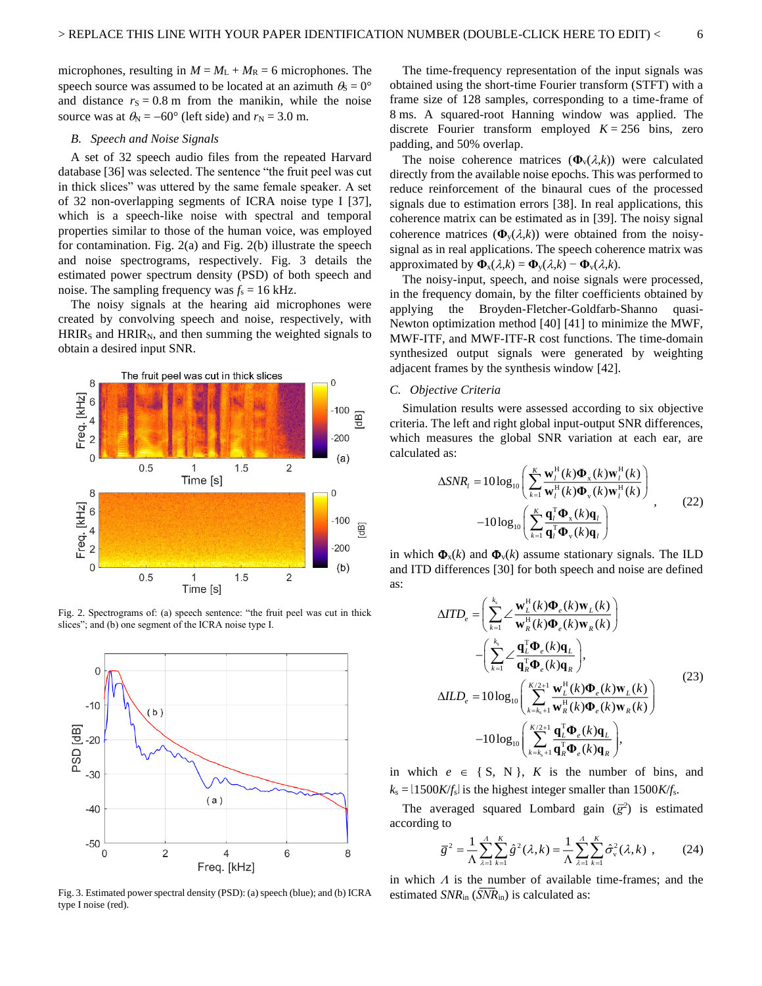microphones, resulting in  $M = M<sub>L</sub> + M<sub>R</sub> = 6$  microphones. The speech source was assumed to be located at an azimuth  $\theta_s = 0^\circ$ and distance  $r<sub>S</sub> = 0.8$  m from the manikin, while the noise source was at  $\theta_N = -60^\circ$  (left side) and  $r_N = 3.0$  m.

## <span id="page-5-2"></span>*B. Speech and Noise Signals*

A set of 32 speech audio files from the repeated Harvard databas[e \[36\]](#page-11-7) was selected. The sentence "the fruit peel was cut in thick slices" was uttered by the same female speaker. A set of 32 non-overlapping segments of ICRA noise type I [\[37\],](#page-11-8)  which is a speech-like noise with spectral and temporal properties similar to those of the human voice, was employed for contamination. [Fig. 2\(](#page-5-0)a) and [Fig. 2\(](#page-5-0)b) illustrate the speech and noise spectrograms, respectively. [Fig. 3](#page-5-1) details the estimated power spectrum density (PSD) of both speech and noise. The sampling frequency was  $f_s = 16$  kHz.

The noisy signals at the hearing aid microphones were created by convolving speech and noise, respectively, with  $HRIR<sub>S</sub>$  and  $HRIR<sub>N</sub>$ , and then summing the weighted signals to obtain a desired input SNR.



<span id="page-5-0"></span>Fig. 2. Spectrograms of: (a) speech sentence: "the fruit peel was cut in thick slices"; and (b) one segment of the ICRA noise type I.



<span id="page-5-1"></span>Fig. 3. Estimated power spectral density (PSD): (a) speech (blue); and (b) ICRA type I noise (red).

The time-frequency representation of the input signals was obtained using the short-time Fourier transform (STFT) with a frame size of 128 samples, corresponding to a time-frame of 8 ms. A squared-root Hanning window was applied. The discrete Fourier transform employed  $K = 256$  bins, zero padding, and 50% overlap.

The noise coherence matrices  $(\Phi_{v}(\lambda,k))$  were calculated directly from the available noise epochs. This was performed to reduce reinforcement of the binaural cues of the processed signals due to estimation errors [\[38\].](#page-11-9) In real applications, this coherence matrix can be estimated as in [\[39\].](#page-11-10) The noisy signal coherence matrices  $(\Phi_{v}(\lambda,k))$  were obtained from the noisysignal as in real applications. The speech coherence matrix was approximated by  $\Phi_x(\lambda, k) = \Phi_y(\lambda, k) - \Phi_y(\lambda, k)$ .

The noisy-input, speech, and noise signals were processed, in the frequency domain, by the filter coefficients obtained by applying the Broyden-Fletcher-Goldfarb-Shanno quasi-Newton optimization method [\[40\]](#page-11-11) [\[41\]](#page-11-12) to minimize the MWF, MWF-ITF, and MWF-ITF-R cost functions. The time-domain synthesized output signals were generated by weighting adjacent frames by the synthesis window [\[42\].](#page-11-13)

## *C. Objective Criteria*

Simulation results were assessed according to six objective criteria. The left and right global input-output SNR differences, which measures the global SNR variation at each ear, are calculated as:

$$
\Delta SNR_l = 10 \log_{10} \left( \sum_{k=1}^{K} \frac{\mathbf{w}_l^{\mathrm{H}}(k) \mathbf{\Phi}_x(k) \mathbf{w}_l^{\mathrm{H}}(k)}{\mathbf{w}_l^{\mathrm{H}}(k) \mathbf{\Phi}_y(k) \mathbf{w}_l^{\mathrm{H}}(k)} \right) -10 \log_{10} \left( \sum_{k=1}^{K} \frac{\mathbf{q}_l^{\mathrm{T}} \mathbf{\Phi}_x(k) \mathbf{q}_l}{\mathbf{q}_l^{\mathrm{T}} \mathbf{\Phi}_y(k) \mathbf{q}_l} \right), \qquad (22)
$$

in which  $\Phi_{\rm x}(k)$  and  $\Phi_{\rm v}(k)$  assume stationary signals. The ILD and ITD differences [\[30\]](#page-11-1) for both speech and noise are defined as:

$$
\Delta T D_e = \left( \sum_{k=1}^{k_s} \angle \frac{\mathbf{w}_L^H(k) \Phi_e(k) \mathbf{w}_L(k)}{\mathbf{w}_R^H(k) \Phi_e(k) \mathbf{w}_R(k)} \right) \n- \left( \sum_{k=1}^{k_s} \angle \frac{\mathbf{q}_L^T \Phi_e(k) \mathbf{q}_L}{\mathbf{q}_R^T \Phi_e(k) \mathbf{q}_R} \right), \n\Delta ILD_e = 10 \log_{10} \left( \sum_{k=k_s+1}^{K/2+1} \frac{\mathbf{w}_L^H(k) \Phi_e(k) \mathbf{w}_L(k)}{\mathbf{w}_R^H(k) \Phi_e(k) \mathbf{w}_R(k)} \right) \n-10 \log_{10} \left( \sum_{k=k_s+1}^{K/2+1} \frac{\mathbf{q}_L^T \Phi_e(k) \mathbf{q}_L}{\mathbf{q}_R^T \Phi_e(k) \mathbf{q}_R} \right),
$$
\n(23)

in which  $e \in \{ S, N \}$ , *K* is the number of bins, and  $k_s = 11500K/f_s$  is the highest integer smaller than  $1500K/f_s$ .

The averaged squared Lombard gain  $(\bar{g}^2)$  is estimated according to

$$
\overline{g}^{2} = \frac{1}{\Lambda} \sum_{\lambda=1}^{A} \sum_{k=1}^{K} \hat{g}^{2}(\lambda, k) = \frac{1}{\Lambda} \sum_{\lambda=1}^{A} \sum_{k=1}^{K} \hat{\sigma}_{v}^{2}(\lambda, k) , \qquad (24)
$$

in which  $\Lambda$  is the number of available time-frames; and the estimated *SNR*<sub>in</sub> (*SNR*<sub>in</sub>) is calculated as: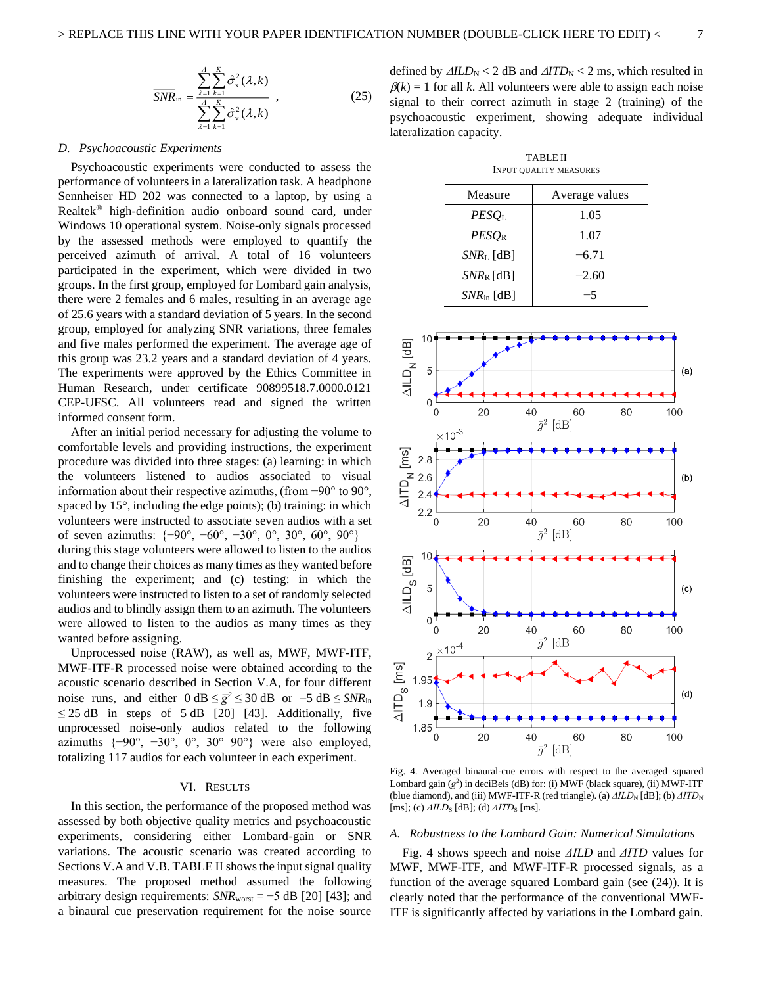$$
\overline{SNR}_{\text{in}} = \frac{\sum_{\lambda=1}^{A} \sum_{k=1}^{K} \hat{\sigma}_{x}^{2}(\lambda, k)}{\sum_{\lambda=1}^{A} \sum_{k=1}^{K} \hat{\sigma}_{v}^{2}(\lambda, k)},
$$
(25)

#### *D. Psychoacoustic Experiments*

Psychoacoustic experiments were conducted to assess the performance of volunteers in a lateralization task. A headphone Sennheiser HD 202 was connected to a laptop, by using a Realtek® high-definition audio onboard sound card, under Windows 10 operational system. Noise-only signals processed by the assessed methods were employed to quantify the perceived azimuth of arrival. A total of 16 volunteers participated in the experiment, which were divided in two groups. In the first group, employed for Lombard gain analysis, there were 2 females and 6 males, resulting in an average age of 25.6 years with a standard deviation of 5 years. In the second group, employed for analyzing SNR variations, three females and five males performed the experiment. The average age of this group was 23.2 years and a standard deviation of 4 years. The experiments were approved by the Ethics Committee in Human Research, under certificate 90899518.7.0000.0121 CEP-UFSC. All volunteers read and signed the written informed consent form.

After an initial period necessary for adjusting the volume to comfortable levels and providing instructions, the experiment procedure was divided into three stages: (a) learning: in which the volunteers listened to audios associated to visual information about their respective azimuths, (from −90° to 90°, spaced by 15°, including the edge points); (b) training: in which volunteers were instructed to associate seven audios with a set of seven azimuths:  $\{-90^\circ, -60^\circ, -30^\circ, 0^\circ, 30^\circ, 60^\circ, 90^\circ\}$  – during this stage volunteers were allowed to listen to the audios and to change their choices as many times as they wanted before finishing the experiment; and (c) testing: in which the volunteers were instructed to listen to a set of randomly selected audios and to blindly assign them to an azimuth. The volunteers were allowed to listen to the audios as many times as they wanted before assigning.

Unprocessed noise (RAW), as well as, MWF, MWF-ITF, MWF-ITF-R processed noise were obtained according to the acoustic scenario described in Section [V.](#page-4-0)[A,](#page-4-2) for four different noise runs, and either  $0 \text{ dB} \leq \bar{g}^2 \leq 30 \text{ dB}$  or  $-5 \text{ dB} \leq SNR_{\text{in}}$  $\leq$  25 dB in steps of 5 dB [\[20\]](#page-10-19) [\[43\].](#page-11-14) Additionally, five unprocessed noise-only audios related to the following azimuths  $\{-90^\circ, -30^\circ, 0^\circ, 30^\circ, 90^\circ\}$  were also employed, totalizing 117 audios for each volunteer in each experiment.

## VI. RESULTS

<span id="page-6-0"></span>In this section, the performance of the proposed method was assessed by both objective quality metrics and psychoacoustic experiments, considering either Lombard-gain or SNR variations. The acoustic scenario was created according to Section[s V.A](#page-4-2) and [V.B.](#page-5-2) [TABLE II](#page-6-1) shows the input signal quality measures. The proposed method assumed the following arbitrary design requirements:  $SNR_{worst} = -5$  dB [\[20\]](#page-10-19) [\[43\];](#page-11-14) and a binaural cue preservation requirement for the noise source

defined by  $\Delta I L D_N < 2$  dB and  $\Delta I T D_N < 2$  ms, which resulted in  $\beta(k) = 1$  for all *k*. All volunteers were able to assign each noise signal to their correct azimuth in stage 2 (training) of the psychoacoustic experiment, showing adequate individual lateralization capacity.

TABLE II INPUT QUALITY MEASURES

<span id="page-6-1"></span>

| Measure                | Average values |
|------------------------|----------------|
| PESO <sub>L</sub>      | 1.05           |
| $PESO_R$               | 1.07           |
| $SNRL$ [dB]            | $-6.71$        |
| $SNR_{R}$ [dB]         | $-2.60$        |
| $SNR_{\text{in}}$ [dB] | -5             |



<span id="page-6-2"></span>Fig. 4. Averaged binaural-cue errors with respect to the averaged squared Lombard gain  $(g^2)$  in deciBels (dB) for: (i) MWF (black square), (ii) MWF-ITF (blue diamond), and (iii) MWF-ITF-R (red triangle). (a)  $\Delta ILD<sub>N</sub>$  [dB]; (b)  $\Delta ITD<sub>N</sub>$ [ms]; (c)  $ΔILD<sub>S</sub>$  [dB]; (d)  $ΔITD<sub>S</sub>$  [ms].

#### *A. Robustness to the Lombard Gain: Numerical Simulations*

[Fig. 4](#page-6-2) shows speech and noise *ΔILD* and *ΔITD* values for MWF, MWF-ITF, and MWF-ITF-R processed signals, as a function of the average squared Lombard gain (see (24)). It is clearly noted that the performance of the conventional MWF-ITF is significantly affected by variations in the Lombard gain.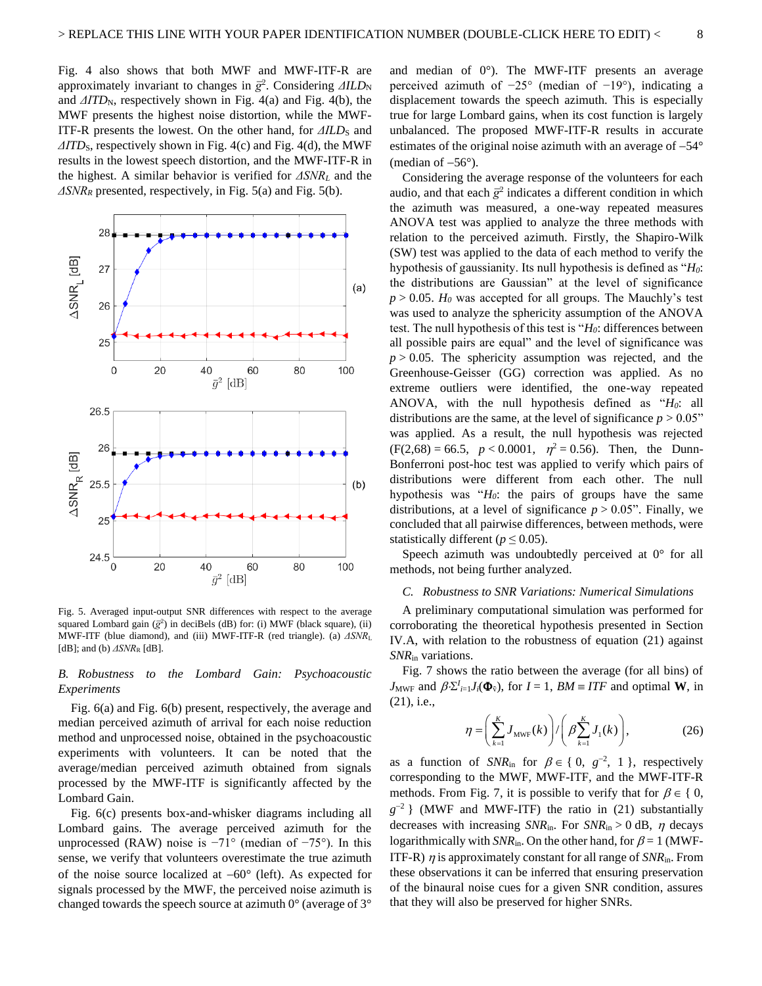[Fig. 4](#page-6-2) also shows that both MWF and MWF-ITF-R are approximately invariant to changes in  $\bar{g}^2$ . Considering *ΔILD*<sub>N</sub> and *ΔITD*<sub>N</sub>, respectively shown in [Fig. 4\(](#page-6-2)a) and Fig. 4(b), the MWF presents the highest noise distortion, while the MWF-ITF-R presents the lowest. On the other hand, for *ΔILD*<sub>S</sub> and *ΔITD*<sub>S</sub>, respectively shown in [Fig. 4\(](#page-6-2)c) an[d Fig. 4\(](#page-6-2)d), the MWF results in the lowest speech distortion, and the MWF-ITF-R in the highest. A similar behavior is verified for *ΔSNR<sup>L</sup>* and the *ΔSNR<sup>R</sup>* presented, respectively, in [Fig. 5\(](#page-7-0)a) an[d Fig. 5\(](#page-7-0)b).



<span id="page-7-0"></span>Fig. 5. Averaged input-output SNR differences with respect to the average squared Lombard gain ( $\bar{g}^2$ ) in deciBels (dB) for: (i) MWF (black square), (ii) MWF-ITF (blue diamond), and (iii) MWF-ITF-R (red triangle). (a) *ΔSNR*<sup>L</sup> [dB]; and (b)  $\triangle SNR$ <sub>R</sub> [dB].

## *B. Robustness to the Lombard Gain: Psychoacoustic Experiments*

[Fig. 6\(](#page-8-0)a) and [Fig. 6\(](#page-8-0)b) present, respectively, the average and median perceived azimuth of arrival for each noise reduction method and unprocessed noise, obtained in the psychoacoustic experiments with volunteers. It can be noted that the average/median perceived azimuth obtained from signals processed by the MWF-ITF is significantly affected by the Lombard Gain.

[Fig. 6\(](#page-8-0)c) presents box-and-whisker diagrams including all Lombard gains. The average perceived azimuth for the unprocessed (RAW) noise is  $-71^\circ$  (median of  $-75^\circ$ ). In this sense, we verify that volunteers overestimate the true azimuth of the noise source localized at −60° (left). As expected for signals processed by the MWF, the perceived noise azimuth is changed towards the speech source at azimuth 0° (average of 3°

and median of 0°). The MWF-ITF presents an average perceived azimuth of −25° (median of −19°), indicating a displacement towards the speech azimuth. This is especially true for large Lombard gains, when its cost function is largely unbalanced. The proposed MWF-ITF-R results in accurate estimates of the original noise azimuth with an average of −54° (median of  $-56^\circ$ ).

Considering the average response of the volunteers for each audio, and that each  $\bar{g}^2$  indicates a different condition in which the azimuth was measured, a one-way repeated measures ANOVA test was applied to analyze the three methods with relation to the perceived azimuth. Firstly, the Shapiro-Wilk (SW) test was applied to the data of each method to verify the hypothesis of gaussianity. Its null hypothesis is defined as "*H0*: the distributions are Gaussian" at the level of significance  $p > 0.05$ .  $H_0$  was accepted for all groups. The Mauchly's test was used to analyze the sphericity assumption of the ANOVA test. The null hypothesis of this test is "*H0*: differences between all possible pairs are equal" and the level of significance was  $p > 0.05$ . The sphericity assumption was rejected, and the Greenhouse-Geisser (GG) correction was applied. As no extreme outliers were identified, the one-way repeated ANOVA, with the null hypothesis defined as "*H0*: all distributions are the same, at the level of significance  $p > 0.05$ " was applied. As a result, the null hypothesis was rejected  $(F(2,68) = 66.5, p < 0.0001, \eta^2 = 0.56)$ . Then, the Dunn-Bonferroni post-hoc test was applied to verify which pairs of distributions were different from each other. The null hypothesis was "*H0*: the pairs of groups have the same distributions, at a level of significance  $p > 0.05$ ". Finally, we concluded that all pairwise differences, between methods, were statistically different ( $p \le 0.05$ ).

Speech azimuth was undoubtedly perceived at 0° for all methods, not being further analyzed.

### *C. Robustness to SNR Variations: Numerical Simulations*

A preliminary computational simulation was performed for corroborating the theoretical hypothesis presented in Section [IV.A,](#page-4-3) with relation to the robustness of equation (21) against *SNR*in variations.

[Fig. 7](#page-8-1) shows the ratio between the average (for all bins) of *J*<sub>MWF</sub> and  $\beta \Sigma^{I}{}_{i=1} J_{i}(\Phi_{\tilde{v}})$ , for  $I = 1$ ,  $BM \equiv ITF$  and optimal **W**, in (21), i.e.,

$$
\eta = \left(\sum_{k=1}^{K} J_{\text{MWF}}(k)\right) / \left(\beta \sum_{k=1}^{K} J_1(k)\right),\tag{26}
$$

as a function of  $SNR_{\text{in}}$  for  $\beta \in \{0, g^{-2}, 1\}$ , respectively corresponding to the MWF, MWF-ITF, and the MWF-ITF-R methods. From [Fig. 7,](#page-8-1) it is possible to verify that for  $\beta \in \{0,$  $g^{-2}$ } (MWF and MWF-ITF) the ratio in (21) substantially decreases with increasing *SNR*<sub>in</sub>. For *SNR*<sub>in</sub> > 0 dB,  $\eta$  decays logarithmically with  $SNR_{in}$ . On the other hand, for  $\beta = 1$  (MWF-ITF-R)  $\eta$  is approximately constant for all range of  $SNR_{\text{in}}$ . From these observations it can be inferred that ensuring preservation of the binaural noise cues for a given SNR condition, assures that they will also be preserved for higher SNRs.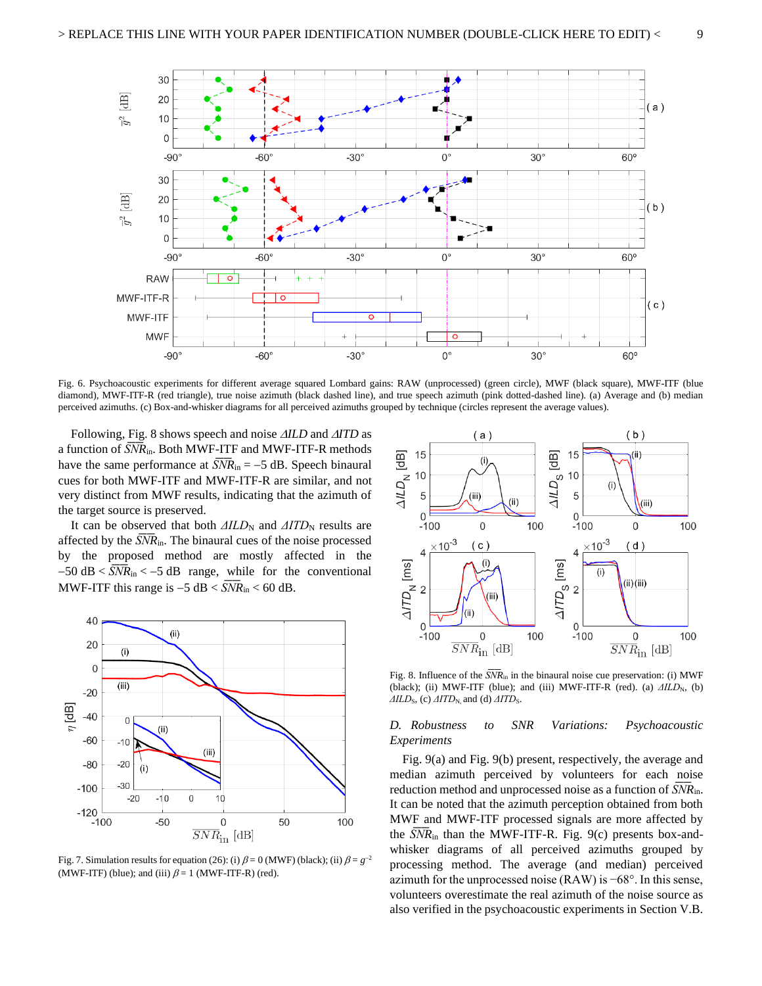

<span id="page-8-0"></span>Fig. 6. Psychoacoustic experiments for different average squared Lombard gains: RAW (unprocessed) (green circle), MWF (black square), MWF-ITF (blue diamond), MWF-ITF-R (red triangle), true noise azimuth (black dashed line), and true speech azimuth (pink dotted-dashed line). (a) Average and (b) median perceived azimuths. (c) Box-and-whisker diagrams for all perceived azimuths grouped by technique (circles represent the average values).

Following, [Fig. 8](#page-8-2) shows speech and noise *ILD* and *ITD* as a function of  $SNR_{\text{in}}$ . Both MWF-ITF and MWF-ITF-R methods have the same performance at  $\overline{SNR}_{in} = -5$  dB. Speech binaural cues for both MWF-ITF and MWF-ITF-R are similar, and not very distinct from MWF results, indicating that the azimuth of the target source is preserved.

It can be observed that both *ΔILD*<sub>N</sub> and *ΔITD*<sub>N</sub> results are affected by the  $\overline{SNR}_{in}$ . The binaural cues of the noise processed by the proposed method are mostly affected in the  $-50$  dB <  $\overline{SNR}_{in}$  <  $-5$  dB range, while for the conventional MWF-ITF this range is –5 dB <  $\overline{SNR}_{in}$  < 60 dB.



<span id="page-8-1"></span>Fig. 7. Simulation results for equation (26): (i)  $\beta = 0$  (MWF) (black); (ii)  $\beta = g^{-2}$ (MWF-ITF) (blue); and (iii)  $\beta = 1$  (MWF-ITF-R) (red).



<span id="page-8-2"></span>Fig. 8. Influence of the  $\overline{SNR}_{in}$  in the binaural noise cue preservation: (i) MWF (black); (ii) MWF-ITF (blue); and (iii) MWF-ITF-R (red). (a)  $\Delta ILD_N$ , (b) *ΔILD*<sub>S</sub>, (c) *ΔITD*<sub>N</sub>, and (d) *ΔITD*<sub>S</sub>.

## *D. Robustness to SNR Variations: Psychoacoustic Experiments*

[Fig. 9\(](#page-9-1)a) and [Fig. 9\(](#page-9-1)b) present, respectively, the average and median azimuth perceived by volunteers for each noise reduction method and unprocessed noise as a function of  $SNR_{\text{in}}$ . It can be noted that the azimuth perception obtained from both MWF and MWF-ITF processed signals are more affected by the  $\overline{SNR}_{in}$  than the MWF-ITF-R. [Fig. 9\(](#page-9-1)c) presents box-andwhisker diagrams of all perceived azimuths grouped by processing method. The average (and median) perceived azimuth for the unprocessed noise (RAW) is −68°. In this sense, volunteers overestimate the real azimuth of the noise source as also verified in the psychoacoustic experiments in Sectio[n V.B.](#page-5-2)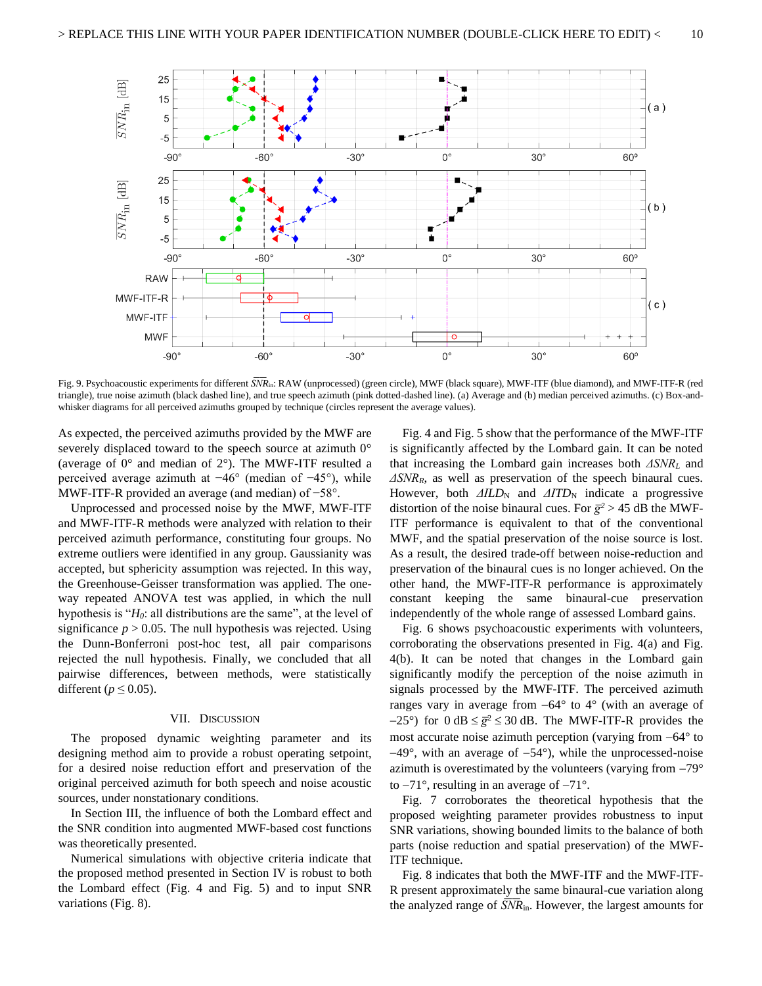

<span id="page-9-1"></span>Fig. 9. Psychoacoustic experiments for different  $\overline{SNR}_{in}$ : RAW (unprocessed) (green circle), MWF (black square), MWF-ITF (blue diamond), and MWF-ITF-R (red triangle), true noise azimuth (black dashed line), and true speech azimuth (pink dotted-dashed line). (a) Average and (b) median perceived azimuths. (c) Box-andwhisker diagrams for all perceived azimuths grouped by technique (circles represent the average values).

As expected, the perceived azimuths provided by the MWF are severely displaced toward to the speech source at azimuth  $0^{\circ}$ (average of  $0^{\circ}$  and median of  $2^{\circ}$ ). The MWF-ITF resulted a perceived average azimuth at −46° (median of −45°), while MWF-ITF-R provided an average (and median) of −58°.

Unprocessed and processed noise by the MWF, MWF-ITF and MWF-ITF-R methods were analyzed with relation to their perceived azimuth performance, constituting four groups. No extreme outliers were identified in any group. Gaussianity was accepted, but sphericity assumption was rejected. In this way, the Greenhouse-Geisser transformation was applied. The oneway repeated ANOVA test was applied, in which the null hypothesis is "*H0*: all distributions are the same", at the level of significance  $p > 0.05$ . The null hypothesis was rejected. Using the Dunn-Bonferroni post-hoc test, all pair comparisons rejected the null hypothesis. Finally, we concluded that all pairwise differences, between methods, were statistically different ( $p \leq 0.05$ ).

#### VII. DISCUSSION

<span id="page-9-0"></span>The proposed dynamic weighting parameter and its designing method aim to provide a robust operating setpoint, for a desired noise reduction effort and preservation of the original perceived azimuth for both speech and noise acoustic sources, under nonstationary conditions.

In Section [III,](#page-3-0) the influence of both the Lombard effect and the SNR condition into augmented MWF-based cost functions was theoretically presented.

Numerical simulations with objective criteria indicate that the proposed method presented in Section [IV](#page-3-1) is robust to both the Lombard effect [\(Fig. 4](#page-6-2) and [Fig. 5\)](#page-7-0) and to input SNR variations [\(Fig. 8\)](#page-8-2).

[Fig. 4](#page-6-2) an[d Fig. 5](#page-7-0) show that the performance of the MWF-ITF is significantly affected by the Lombard gain. It can be noted that increasing the Lombard gain increases both *ΔSNR<sup>L</sup>* and *ΔSNRR*, as well as preservation of the speech binaural cues. However, both *ΔILD*<sub>N</sub> and *ΔITD*<sub>N</sub> indicate a progressive distortion of the noise binaural cues. For  $\bar{g}^2 > 45$  dB the MWF-ITF performance is equivalent to that of the conventional MWF, and the spatial preservation of the noise source is lost. As a result, the desired trade-off between noise-reduction and preservation of the binaural cues is no longer achieved. On the other hand, the MWF-ITF-R performance is approximately constant keeping the same binaural-cue preservation independently of the whole range of assessed Lombard gains.

[Fig. 6](#page-8-0) shows psychoacoustic experiments with volunteers, corroborating the observations presented in [Fig. 4\(](#page-6-2)a) and [Fig.](#page-6-2)  [4\(](#page-6-2)b). It can be noted that changes in the Lombard gain significantly modify the perception of the noise azimuth in signals processed by the MWF-ITF. The perceived azimuth ranges vary in average from −64° to 4° (with an average of  $-25^{\circ}$ ) for 0 dB  $\leq \bar{g}^2 \leq 30$  dB. The MWF-ITF-R provides the most accurate noise azimuth perception (varying from −64° to −49°, with an average of −54°), while the unprocessed-noise azimuth is overestimated by the volunteers (varying from −79° to −71°, resulting in an average of −71°.

[Fig. 7](#page-8-1) corroborates the theoretical hypothesis that the proposed weighting parameter provides robustness to input SNR variations, showing bounded limits to the balance of both parts (noise reduction and spatial preservation) of the MWF-ITF technique.

[Fig. 8](#page-8-2) indicates that both the MWF-ITF and the MWF-ITF-R present approximately the same binaural-cue variation along the analyzed range of  $\overline{SNR}_{in}$ . However, the largest amounts for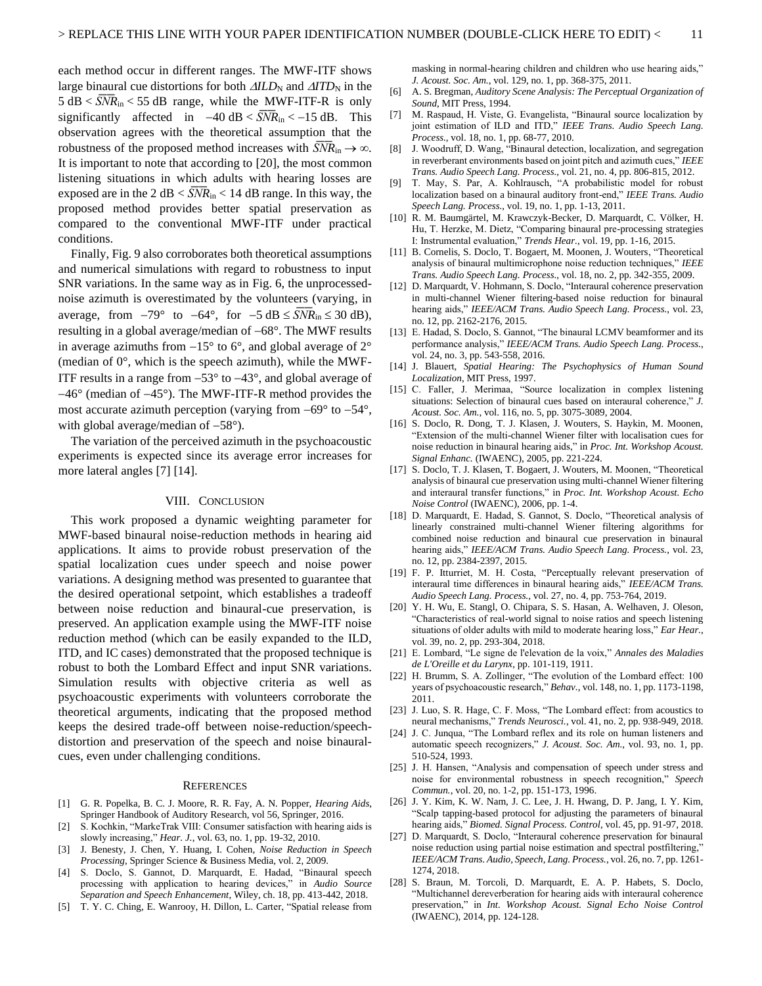each method occur in different ranges. The MWF-ITF shows large binaural cue distortions for both  $\Delta ILD_N$  and  $\Delta ITD_N$  in the  $5 dB < SNR<sub>in</sub> < 55 dB$  range, while the MWF-ITF-R is only significantly affected in  $-40 \text{ dB} < \overline{SNR}_{in} < -15 \text{ dB}$ . This observation agrees with the theoretical assumption that the robustness of the proposed method increases with  $SNR_{in} \rightarrow \infty$ . It is important to note that according to [\[20\],](#page-10-19) the most common listening situations in which adults with hearing losses are exposed are in the 2 dB  $<$  *SNR*<sub>in</sub>  $<$  14 dB range. In this way, the proposed method provides better spatial preservation as compared to the conventional MWF-ITF under practical conditions.

Finally, [Fig. 9](#page-9-1) also corroborates both theoretical assumptions and numerical simulations with regard to robustness to input SNR variations. In the same way as i[n Fig. 6,](#page-8-0) the unprocessednoise azimuth is overestimated by the volunteers (varying, in average, from  $-79^{\circ}$  to  $-64^{\circ}$ , for  $-5$  dB  $\leq$  *SNR*<sub>in</sub>  $\leq$  30 dB), resulting in a global average/median of −68°. The MWF results in average azimuths from −15° to 6°, and global average of 2° (median of 0°, which is the speech azimuth), while the MWF-ITF results in a range from −53° to −43°, and global average of −46° (median of −45°). The MWF-ITF-R method provides the most accurate azimuth perception (varying from −69° to −54°, with global average/median of −58°).

The variation of the perceived azimuth in the psychoacoustic experiments is expected since its average error increases for more lateral angles [\[7\]](#page-10-6) [\[14\].](#page-10-13)

## VIII. CONCLUSION

<span id="page-10-28"></span>This work proposed a dynamic weighting parameter for MWF-based binaural noise-reduction methods in hearing aid applications. It aims to provide robust preservation of the spatial localization cues under speech and noise power variations. A designing method was presented to guarantee that the desired operational setpoint, which establishes a tradeoff between noise reduction and binaural-cue preservation, is preserved. An application example using the MWF-ITF noise reduction method (which can be easily expanded to the ILD, ITD, and IC cases) demonstrated that the proposed technique is robust to both the Lombard Effect and input SNR variations. Simulation results with objective criteria as well as psychoacoustic experiments with volunteers corroborate the theoretical arguments, indicating that the proposed method keeps the desired trade-off between noise-reduction/speechdistortion and preservation of the speech and noise binauralcues, even under challenging conditions.

#### **REFERENCES**

- <span id="page-10-0"></span>[1] G. R. Popelka, B. C. J. Moore, R. R. Fay, A. N. Popper, *Hearing Aids*, Springer Handbook of Auditory Research, vol 56, Springer, 2016.
- <span id="page-10-1"></span>[2] S. Kochkin, "MarkeTrak VIII: Consumer satisfaction with hearing aids is slowly increasing," *Hear. J.*, vol. 63, no. 1, pp. 19-32, 2010.
- <span id="page-10-2"></span>[3] J. Benesty, J. Chen, Y. Huang, I. Cohen, *Noise Reduction in Speech Processing*, Springer Science & Business Media, vol. 2, 2009.
- <span id="page-10-3"></span>[4] S. Doclo, S. Gannot, D. Marquardt, E. Hadad, "Binaural speech processing with application to hearing devices," in *Audio Source Separation and Speech Enhancement*, Wiley, ch. 18, pp. 413-442, 2018.
- <span id="page-10-4"></span>[5] T. Y. C. Ching, E. Wanrooy, H. Dillon, L. Carter, "Spatial release from

masking in normal-hearing children and children who use hearing aids," *J. Acoust. Soc. Am.*, vol. 129, no. 1, pp. 368-375, 2011.

- <span id="page-10-5"></span>[6] A. S. Bregman, *Auditory Scene Analysis: The Perceptual Organization of Sound*, MIT Press, 1994.
- <span id="page-10-6"></span>[7] M. Raspaud, H. Viste, G. Evangelista, "Binaural source localization by joint estimation of ILD and ITD," *IEEE Trans. Audio Speech Lang. Process.,* vol. 18, no. 1, pp. 68-77, 2010.
- <span id="page-10-7"></span>[8] J. Woodruff, D. Wang, "Binaural detection, localization, and segregation in reverberant environments based on joint pitch and azimuth cues," *IEEE Trans. Audio Speech Lang. Process.*, vol. 21, no. 4, pp. 806-815, 2012.
- <span id="page-10-8"></span>[9] T. May, S. Par, A. Kohlrausch, "A probabilistic model for robust localization based on a binaural auditory front-end," *IEEE Trans. Audio Speech Lang. Process.*, vol. 19, no. 1, pp. 1-13, 2011.
- <span id="page-10-9"></span>[10] R. M. Baumgärtel, M. Krawczyk-Becker, D. Marquardt, C. Völker, H. Hu, T. Herzke, M. Dietz, "Comparing binaural pre-processing strategies I: Instrumental evaluation," *Trends Hear.*, vol. 19, pp. 1-16, 2015.
- <span id="page-10-10"></span>[11] B. Cornelis, S. Doclo, T. Bogaert, M. Moonen, J. Wouters, "Theoretical analysis of binaural multimicrophone noise reduction techniques," *IEEE Trans. Audio Speech Lang. Process.*, vol. 18, no. 2, pp. 342-355, 2009.
- <span id="page-10-11"></span>[12] D. Marquardt, V. Hohmann, S. Doclo, "Interaural coherence preservation in multi-channel Wiener filtering-based noise reduction for binaural hearing aids," *IEEE/ACM Trans. Audio Speech Lang. Process.*, vol. 23, no. 12, pp. 2162-2176, 2015.
- <span id="page-10-12"></span>[13] E. Hadad, S. Doclo, S. Gannot, "The binaural LCMV beamformer and its performance analysis," *IEEE/ACM Trans. Audio Speech Lang. Process.*, vol. 24, no. 3, pp. 543-558, 2016.
- <span id="page-10-13"></span>[14] J. Blauert, *Spatial Hearing: The Psychophysics of Human Sound Localization*, MIT Press, 1997.
- <span id="page-10-14"></span>[15] C. Faller, J. Merimaa, "Source localization in complex listening situations: Selection of binaural cues based on interaural coherence," *J. Acoust. Soc. Am.*, vol. 116, no. 5, pp. 3075-3089, 2004.
- <span id="page-10-15"></span>[16] S. Doclo, R. Dong, T. J. Klasen, J. Wouters, S. Haykin, M. Moonen, "Extension of the multi-channel Wiener filter with localisation cues for noise reduction in binaural hearing aids," in *Proc. Int. Workshop Acoust. Signal Enhanc.* (IWAENC), 2005, pp. 221-224.
- <span id="page-10-16"></span>[17] S. Doclo, T. J. Klasen, T. Bogaert, J. Wouters, M. Moonen, "Theoretical analysis of binaural cue preservation using multi-channel Wiener filtering and interaural transfer functions," in *Proc. Int. Workshop Acoust. Echo Noise Control* (IWAENC), 2006, pp. 1-4.
- <span id="page-10-17"></span>[18] D. Marquardt, E. Hadad, S. Gannot, S. Doclo, "Theoretical analysis of linearly constrained multi-channel Wiener filtering algorithms for combined noise reduction and binaural cue preservation in binaural hearing aids," *IEEE/ACM Trans. Audio Speech Lang. Process.*, vol. 23, no. 12, pp. 2384-2397, 2015.
- <span id="page-10-18"></span>[19] F. P. Itturriet, M. H. Costa, "Perceptually relevant preservation of interaural time differences in binaural hearing aids," *IEEE/ACM Trans. Audio Speech Lang. Process.*, vol. 27, no. 4, pp. 753-764, 2019.
- <span id="page-10-19"></span>[20] Y. H. Wu, E. Stangl, O. Chipara, S. S. Hasan, A. Welhaven, J. Oleson, "Characteristics of real-world signal to noise ratios and speech listening situations of older adults with mild to moderate hearing loss," *Ear Hear.*, vol. 39, no. 2, pp. 293-304, 2018.
- <span id="page-10-20"></span>[21] E. Lombard, "Le signe de l'elevation de la voix," *Annales des Maladies de L'Oreille et du Larynx*, pp. 101-119, 1911.
- <span id="page-10-21"></span>[22] H. Brumm, S. A. Zollinger, "The evolution of the Lombard effect: 100 years of psychoacoustic research," *Behav.*, vol. 148, no. 1, pp. 1173-1198, 2011.
- <span id="page-10-22"></span>[23] J. Luo, S. R. Hage, C. F. Moss, "The Lombard effect: from acoustics to neural mechanisms," *Trends Neurosci.*, vol. 41, no. 2, pp. 938-949, 2018.
- <span id="page-10-23"></span>[24] J. C. Junqua, "The Lombard reflex and its role on human listeners and automatic speech recognizers," *J. Acoust. Soc. Am.*, vol. 93, no. 1, pp. 510-524, 1993.
- <span id="page-10-24"></span>[25] J. H. Hansen, "Analysis and compensation of speech under stress and noise for environmental robustness in speech recognition," *Speech Commun.*, vol. 20, no. 1-2, pp. 151-173, 1996.
- <span id="page-10-25"></span>[26] J. Y. Kim, K. W. Nam, J. C. Lee, J. H. Hwang, D. P. Jang, I. Y. Kim, "Scalp tapping-based protocol for adjusting the parameters of binaural hearing aids," *Biomed. Signal Process. Control*, vol. 45, pp. 91-97, 2018.
- <span id="page-10-26"></span>[27] D. Marquardt, S. Doclo, "Interaural coherence preservation for binaural noise reduction using partial noise estimation and spectral postfiltering," *IEEE/ACM Trans. Audio, Speech, Lang. Process.*, vol. 26, no. 7, pp. 1261- 1274, 2018.
- <span id="page-10-27"></span>[28] S. Braun, M. Torcoli, D. Marquardt, E. A. P. Habets, S. Doclo, "Multichannel dereverberation for hearing aids with interaural coherence preservation," in *Int. Workshop Acoust. Signal Echo Noise Control* (IWAENC), 2014, pp. 124-128.